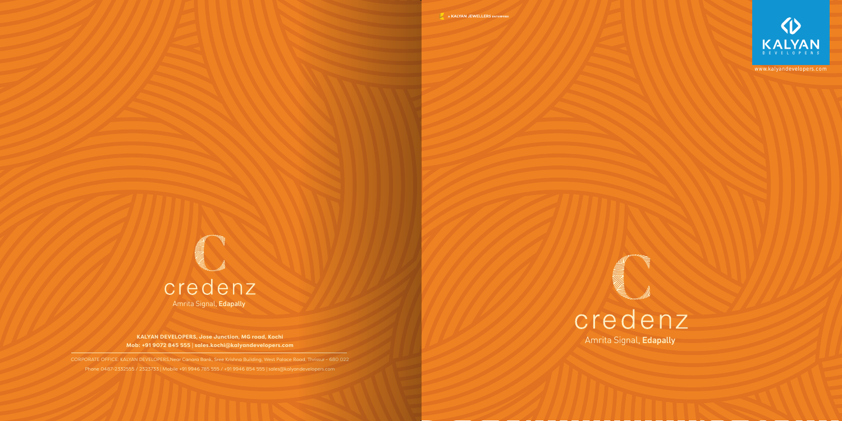

Amrita Signal, Edapally **KALYAN DEVELOPERS, Jose Junction, MG road, Kochi Mob: +91 9072 845 555 | sales.kochi@kalyandevelopers.com**

CORPORATE OFFICE: KALYAN DEVELOPERS,Near Canara Bank, Sree Krishna Building, West Palace Road, Thrissur - 680 022 Phone 0487-2332555 / 2323733 | Mobile +91 9946 785 555 / +91 9946 854 555 | sales@kalyandevelopers.com





www.kalyandevelopers.com

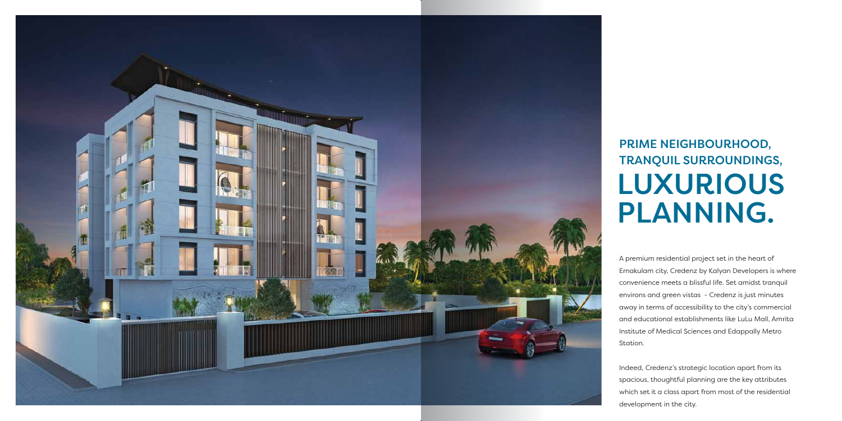A premium residential project set in the heart of Ernakulam city, Credenz by Kalyan Developers is where convenience meets a blissful life. Set amidst tranquil environs and green vistas - Credenz is just minutes away in terms of accessibility to the city's commercial and educational establishments like LuLu Mall, Amrita Institute of Medical Sciences and Edappally Metro Station.

Indeed, Credenz's strategic location apart from its spacious, thoughtful planning are the key attributes which set it a class apart from most of the residential development in the city.



## PRIME NEIGHBOURHOOD, TRANQUIL SURROUNDINGS, LUXURIOUS PLANNING.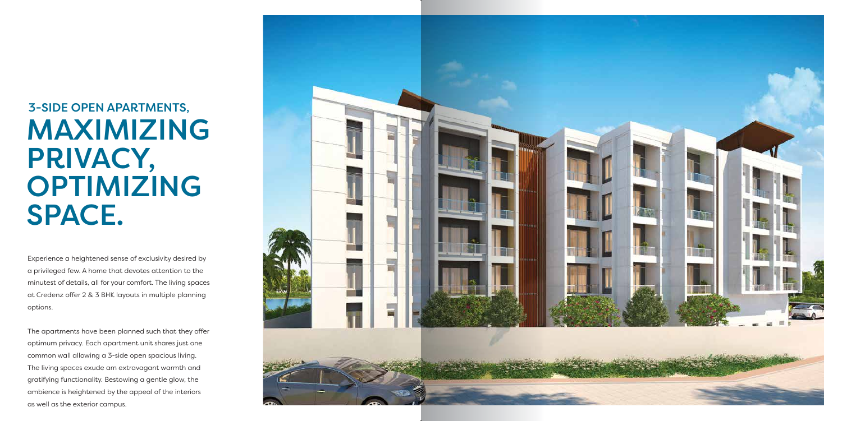Experience a heightened sense of exclusivity desired by a privileged few. A home that devotes attention to the minutest of details, all for your comfort. The living spaces at Credenz offer 2 & 3 BHK layouts in multiple planning options.

The apartments have been planned such that they offer optimum privacy. Each apartment unit shares just one common wall allowing a 3-side open spacious living. The living spaces exude am extravagant warmth and gratifying functionality. Bestowing a gentle glow, the ambience is heightened by the appeal of the interiors as well as the exterior campus.



# 3-SIDE OPEN APARTMENTS, MAXIMIZING PRIVACY, OPTIMIZING SPACE.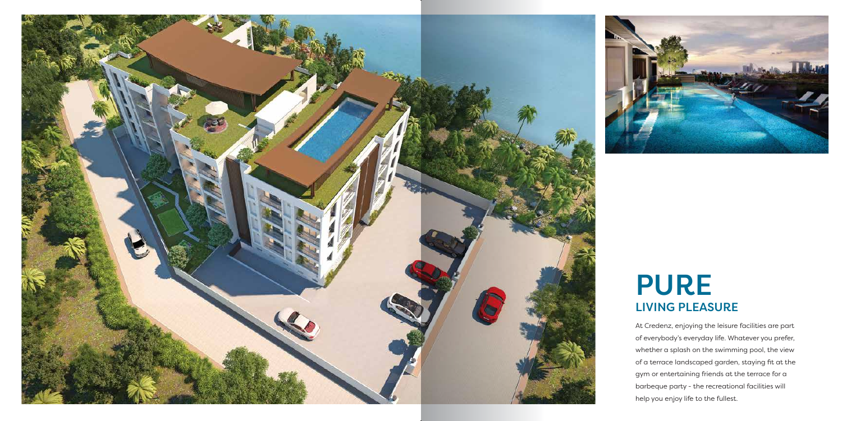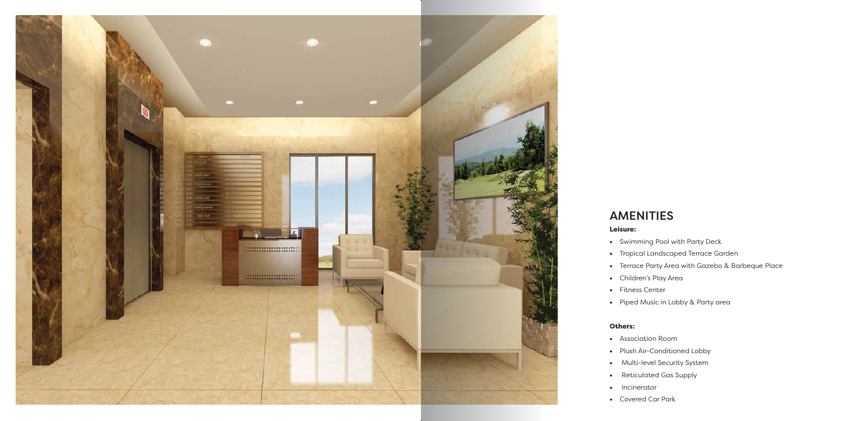

## AMENITIES

### Leisure:

- Swimming Pool with Party Deck
- Tropical Landscaped Terrace Garden
- Terrace Party Area with Gazebo & Barbeque Place
- Children's Play Area
- Fitness Center
- Piped Music in Lobby & Party area

### Others:

- Association Room
- Plush Air-Conditioned Lobby
- Multi-level Security System
- Reticulated Gas Supply
- Incinerator
- Covered Car Park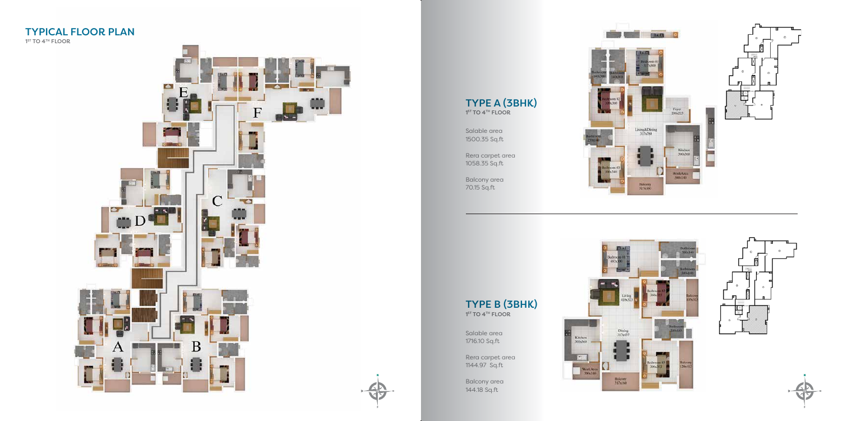### TYPICAL FLOOR PLAN

1<sup>ST</sup> TO 4<sup>TH</sup> FLOOR





TYPE B (3BHK)  $1<sup>ST</sup>$  TO  $4<sup>TH</sup>$  FLOOR

Salable area 1500.35 Sq.ft

Rera carpet area 1058.35 Sq.ft

Balcony area 70.15 Sq.ft

Salable area 1716.10 Sq.ft

Rera carpet area 1144.97 Sq.ft

Balcony area 144.18 Sq.ft









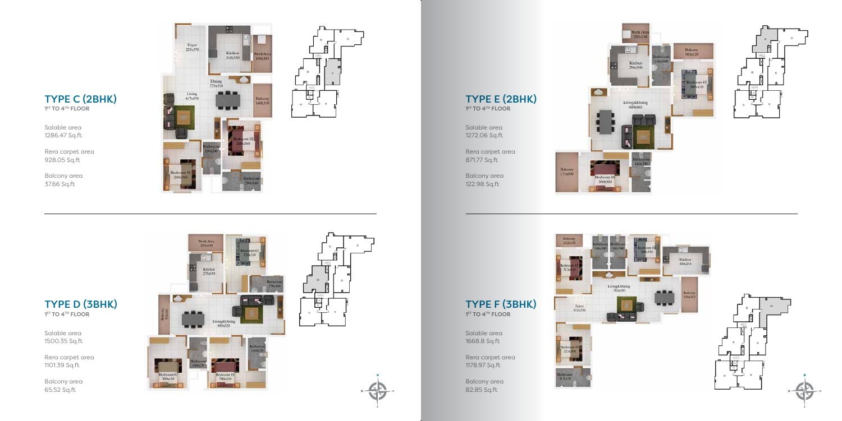

Salable area 1286.47 Sq.ft

Rera carpet area 928.05 Sq.ft

Balcony area 37.66 Sq.ft









Salable area 1272.06 Sq.ft

TYPE D (3BHK)  $1<sup>ST</sup> TO 4<sup>TH</sup> FLOOR$ 

Rera carpet area 871.77 Sq.ft

Balcony area 122.98 Sq.ft

TYPE F (3BHK)

1<sup>ST</sup> TO 4<sup>TH</sup> FLOOR

Salable area 1668.8 Sq.ft

Rera carpet area 1178.97 Sq.ft

Balcony area 82.85 Sq.ft

Balcony<br>342x120

Balcony<br>171x300

Foyer<br>332x230











Salable area 1500.35 Sq.ft

Rera carpet area 1101.39 Sq.ft

Balcony area 65.52 Sq.ft





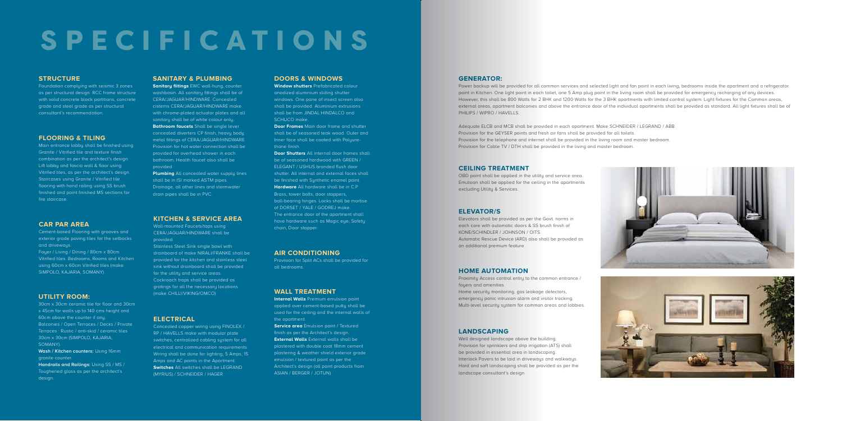# SPECIFICATIONS

### **STRUCTURE**

Foundation complying with seismic 3 zones as per structural design. RCC frame structure with solid concrete block partitions, concrete grade and steel grade as per structural consultant's recommendation.

#### **SANITARY & PLUMBING**

**Sanitary fiitings** EWC wall-hung, counter washbasin. All sanitary fittings shall be of CERA/JAGUAR/HINDWARE. Concealed cisterns CERA/JAGUAR/HINDWARE make with chrome-plated actuator plates and all sanitary shall be of white colour only. **Bathroom faucets** Shall be single lever concealed diverters CP finish, heavy body metal fittings of CERA/JAGUAR/HINDWARE. Provision for hot water connection shall be provided for overhead shower in each bathroom. Health faucet also shall be provided.

Concealed copper wiring using FINOLEX / RP / HAVELLS make with modular plate switches, centralized cabling system for all electrical and communication requirements. Wiring shall be done for lighting, 5 Amps, 15 Amps and AC points in the Apartment. **Switches** All switches shall be LEGRAND (MYRIUS) / SCHNEIDER / HAGER

**Plumbing** All concealed water supply lines shall be in ISI marked ASTM pipes. Drainage, all other lines and stormwater drain pipes shall be in PVC.

#### **KITCHEN & SERVICE AREA**

Wall-mounted Faucets/taps using CERA/JAGUAR/HINDWARE shall be provided.

**Door Frames** Main door frame and shutter shall be of seasoned teak wood. Outer and Inner face shall be coated with Polyurethane finish.

Stainless Steel Sink single bowl with drainboard of make NIRALI/FRANKE shall be provided for the kitchen and stainless steel sink without drainboard shall be provided for the utility and service areas. Cockroach traps shall be provided as gratings for all the necessary locations (make CHILLI/VIKING/OMCO).

Power backup will be provided for all common services and selected light and fan point in each living, bedrooms inside the apartment and a refrigerator point in Kitchen. One light point in each toilet, one 5 Amp plug point in the living room shall be provided for emergency recharging of any devices. However, this shall be 800 Watts for 2 BHK and 1200 Watts for the 3 BHK apartments with limited control system. Light fixtures for the Common areas, external areas, apartment balconies and above the entrance door of the individual apartments shall be provided as standard. All light fixtures shall be of PHILIPS / WIPRO / HAVELLS.

#### **ELECTRICAL**

#### **DOORS & WINDOWS**

**Window shutters** Prefabricated colour anodized aluminium sliding shutter windows. One pane of insect screen also shall be provided. Aluminium extrusions shall be from JINDAL HINDALCO and SCHUCO make.

**Door Shutters** All internal door frames shall be of seasoned hardwood with GREEN / ELEGANT / USHUS branded flush door shutter. All internal and external faces shall be finished with Sunthetic enamel paint. **Hardware** All hardware shall be in C.P Brass, tower bolts, door stoppers, ball-bearing hinges. Locks shall be mortise of DORSET / YALE / GODREJ make. The entrance door of the apartment shall have hardware such as Magic eye, Safety chain, Door stopper.

### **GENERATOR:**

Adequate ELCB and MCB shall be provided in each apartment. Make SCHNEIDER / LEGRAND / ABB. Provision for the GEYSER points and fresh air fans shall be provided for all toilets. Provision for the telephone and internet shall be provided in the living room and master bedroom. Provision for Cable TV / DTH shall be provided in the living and master bedroom.

#### **WALL TREATMENT**

**Internal Walls** Premium emulsion paint applied over cement-based putty shall be used for the ceiling and the internal walls of the apartment.

**Service area** Emulsion paint / Textured finish as per the Architect's design. **External Walls** External walls shall be plastered with double coat 18mm cement plastering & weather shield exterior grade emulsion / textured paint as per the Architect's design (all paint products from ASIAN / BERGER / JOTUN)

#### **AIR CONDITIONING**

Provision for Split ACs shall be provided for all bedrooms.

### **CEILING TREATMENT**

OBD paint shall be applied in the utility and service area. Emulsion shall be applied for the ceiling in the apartments excluding Utility & Services.

### **ELEVATOR/S**

Elevators shall be provided as per the Govt. norms in each core with automatic doors & SS brush finish of KONE/SCHINDLER / JOHNSON / OITS. Automatic Rescue Device (ARD) also shall be provided as an additional premium feature.

#### **HOME AUTOMATION**

Proximity Access control entry to the common entrance / foyers and amenities. Home security monitoring, gas leakage detectors, emergency panic intrusion alarm and visitor tracking. Multi-level security system for common areas and lobbies.

#### **LANDSCAPING**

Well designed landscape above the building. Provision for sprinklers and drip irrigation (ATS) shall be provided in essential area in landscaping. Interlock Pavers to be laid in driveways and walkways. Hard and soft landscaping shall be provided as per the landscape consultant's design





#### **FLOORING & TILING**

Main entrance lobby shall be finished using Granite / Vitrified tile and texture finish combination as per the architect's design. Lift lobby and fascia wall & floor using Vitrified tiles, as per the architect's design. Staircases using Granite / Vitrified tile flooring with hand railing using SS brush finished and paint finished MS sections for fire staircase.

#### **CAR PAR AREA**

Cement-based Flooring with grooves and exterior grade paving tiles for the setbacks and driveways.

Foyer / Living / Dining / 80cm x 80cm Vitrified tiles. Bedrooms, Rooms and Kitchen using 60cm x 60cm Vitrified tiles (make SIMPOLO, KAJARIA, SOMANY).

#### **UTILITY ROOM:**

30cm x 30cm ceramic tile for floor and 30cm x 45cm for walls up to 140 cms height and 60cm above the counter if any. Balconies / Open Terraces / Decks / Private Terraces : Rustic / anti-skid / ceramic tiles 30cm x 30cm (SIMPOLO, KAJARIA, SOMANY).

**Wash / Kitchen counters:** Using 16mm granite counter. **Handrails and Railings:** Using SS / MS /

Toughened glass as per the architect's design.